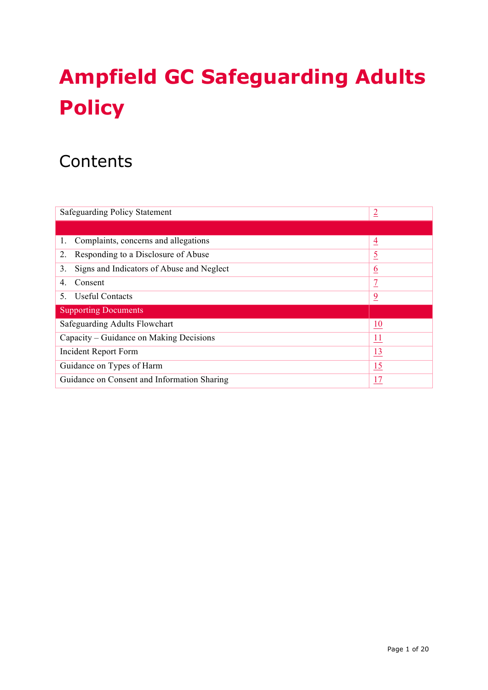# **Ampfield GC Safeguarding Adults Policy**

# **Contents**

| <b>Safeguarding Policy Statement</b><br>$\overline{2}$ |                  |  |
|--------------------------------------------------------|------------------|--|
|                                                        |                  |  |
| Complaints, concerns and allegations<br>1.             | $\overline{4}$   |  |
| Responding to a Disclosure of Abuse<br>2.              | $\overline{5}$   |  |
| 3.<br>Signs and Indicators of Abuse and Neglect        | <u>6</u>         |  |
| Consent<br>4                                           | 7                |  |
| <b>Useful Contacts</b><br>5                            | $\overline{9}$   |  |
| <b>Supporting Documents</b>                            |                  |  |
| Safeguarding Adults Flowchart                          | $\underline{10}$ |  |
| Capacity – Guidance on Making Decisions<br><u>11</u>   |                  |  |
| <b>Incident Report Form</b><br><u>13</u>               |                  |  |
| 15<br>Guidance on Types of Harm                        |                  |  |
| Guidance on Consent and Information Sharing<br>17      |                  |  |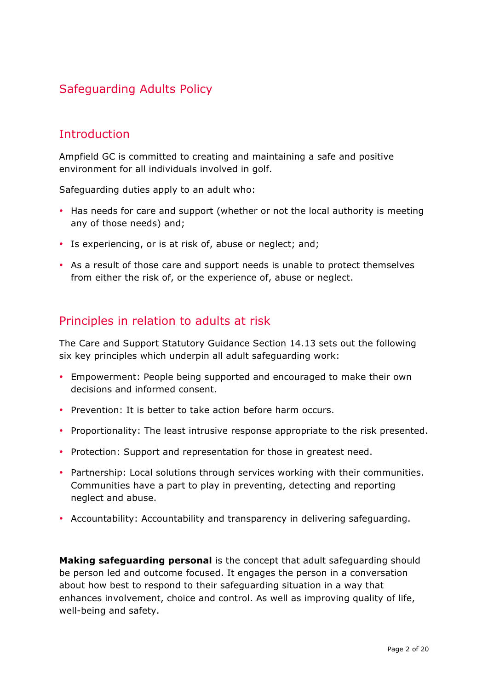## Safeguarding Adults Policy

## **Introduction**

Ampfield GC is committed to creating and maintaining a safe and positive environment for all individuals involved in golf.

Safeguarding duties apply to an adult who:

- Has needs for care and support (whether or not the local authority is meeting any of those needs) and;
- Is experiencing, or is at risk of, abuse or neglect; and;
- As a result of those care and support needs is unable to protect themselves from either the risk of, or the experience of, abuse or neglect.

## Principles in relation to adults at risk

The Care and Support Statutory Guidance Section 14.13 sets out the following six key principles which underpin all adult safeguarding work:

- Empowerment: People being supported and encouraged to make their own decisions and informed consent.
- Prevention: It is better to take action before harm occurs.
- Proportionality: The least intrusive response appropriate to the risk presented.
- Protection: Support and representation for those in greatest need.
- Partnership: Local solutions through services working with their communities. Communities have a part to play in preventing, detecting and reporting neglect and abuse.
- Accountability: Accountability and transparency in delivering safeguarding.

**Making safeguarding personal** is the concept that adult safeguarding should be person led and outcome focused. It engages the person in a conversation about how best to respond to their safeguarding situation in a way that enhances involvement, choice and control. As well as improving quality of life, well-being and safety.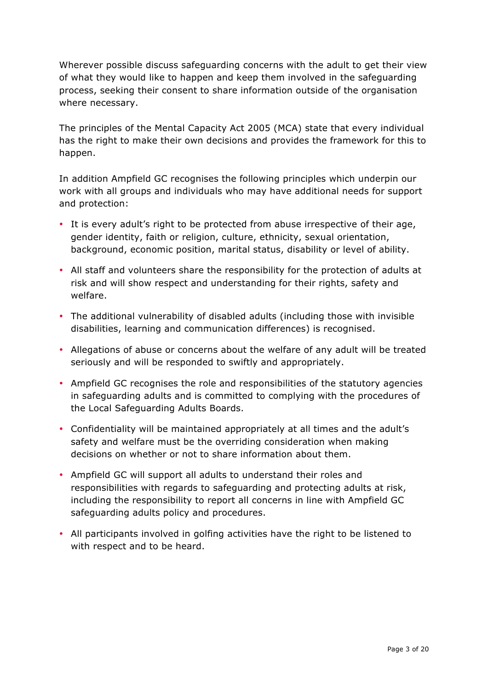Wherever possible discuss safeguarding concerns with the adult to get their view of what they would like to happen and keep them involved in the safeguarding process, seeking their consent to share information outside of the organisation where necessary.

The principles of the Mental Capacity Act 2005 (MCA) state that every individual has the right to make their own decisions and provides the framework for this to happen.

In addition Ampfield GC recognises the following principles which underpin our work with all groups and individuals who may have additional needs for support and protection:

- It is every adult's right to be protected from abuse irrespective of their age, gender identity, faith or religion, culture, ethnicity, sexual orientation, background, economic position, marital status, disability or level of ability.
- All staff and volunteers share the responsibility for the protection of adults at risk and will show respect and understanding for their rights, safety and welfare.
- The additional vulnerability of disabled adults (including those with invisible disabilities, learning and communication differences) is recognised.
- Allegations of abuse or concerns about the welfare of any adult will be treated seriously and will be responded to swiftly and appropriately.
- Ampfield GC recognises the role and responsibilities of the statutory agencies in safeguarding adults and is committed to complying with the procedures of the Local Safeguarding Adults Boards.
- Confidentiality will be maintained appropriately at all times and the adult's safety and welfare must be the overriding consideration when making decisions on whether or not to share information about them.
- Ampfield GC will support all adults to understand their roles and responsibilities with regards to safeguarding and protecting adults at risk, including the responsibility to report all concerns in line with Ampfield GC safeguarding adults policy and procedures.
- All participants involved in golfing activities have the right to be listened to with respect and to be heard.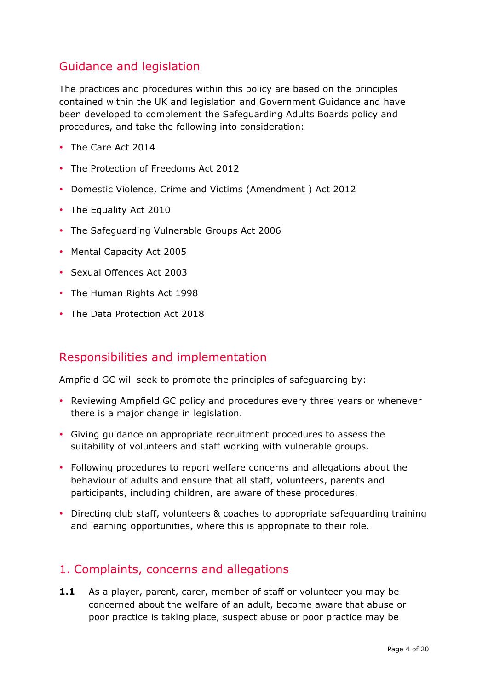## Guidance and legislation

The practices and procedures within this policy are based on the principles contained within the UK and legislation and Government Guidance and have been developed to complement the Safeguarding Adults Boards policy and procedures, and take the following into consideration:

- The Care Act 2014
- The Protection of Freedoms Act 2012
- Domestic Violence, Crime and Victims (Amendment ) Act 2012
- The Equality Act 2010
- The Safeguarding Vulnerable Groups Act 2006
- Mental Capacity Act 2005
- Sexual Offences Act 2003
- The Human Rights Act 1998
- The Data Protection Act 2018

## Responsibilities and implementation

Ampfield GC will seek to promote the principles of safeguarding by:

- Reviewing Ampfield GC policy and procedures every three years or whenever there is a major change in legislation.
- Giving guidance on appropriate recruitment procedures to assess the suitability of volunteers and staff working with vulnerable groups.
- Following procedures to report welfare concerns and allegations about the behaviour of adults and ensure that all staff, volunteers, parents and participants, including children, are aware of these procedures.
- Directing club staff, volunteers & coaches to appropriate safeguarding training and learning opportunities, where this is appropriate to their role.

## 1. Complaints, concerns and allegations

**1.1** As a player, parent, carer, member of staff or volunteer you may be concerned about the welfare of an adult, become aware that abuse or poor practice is taking place, suspect abuse or poor practice may be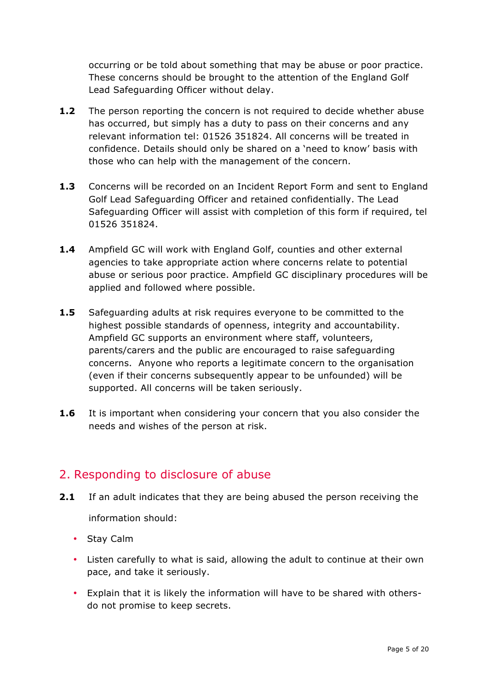occurring or be told about something that may be abuse or poor practice. These concerns should be brought to the attention of the England Golf Lead Safeguarding Officer without delay.

- **1.2** The person reporting the concern is not required to decide whether abuse has occurred, but simply has a duty to pass on their concerns and any relevant information tel: 01526 351824. All concerns will be treated in confidence. Details should only be shared on a 'need to know' basis with those who can help with the management of the concern.
- **1.3** Concerns will be recorded on an Incident Report Form and sent to England Golf Lead Safeguarding Officer and retained confidentially. The Lead Safeguarding Officer will assist with completion of this form if required, tel 01526 351824.
- **1.4** Ampfield GC will work with England Golf, counties and other external agencies to take appropriate action where concerns relate to potential abuse or serious poor practice. Ampfield GC disciplinary procedures will be applied and followed where possible.
- **1.5** Safeguarding adults at risk requires everyone to be committed to the highest possible standards of openness, integrity and accountability. Ampfield GC supports an environment where staff, volunteers, parents/carers and the public are encouraged to raise safeguarding concerns. Anyone who reports a legitimate concern to the organisation (even if their concerns subsequently appear to be unfounded) will be supported. All concerns will be taken seriously.
- **1.6** It is important when considering your concern that you also consider the needs and wishes of the person at risk.

## 2. Responding to disclosure of abuse

- **2.1** If an adult indicates that they are being abused the person receiving the information should:
	- Stay Calm
	- Listen carefully to what is said, allowing the adult to continue at their own pace, and take it seriously.
	- Explain that it is likely the information will have to be shared with othersdo not promise to keep secrets.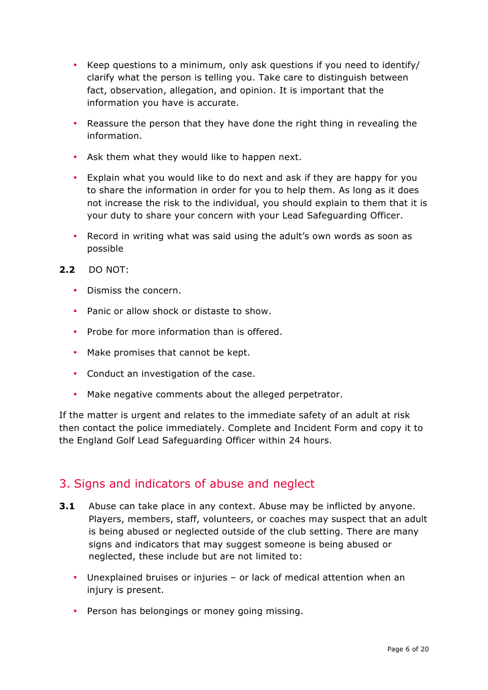- Keep questions to a minimum, only ask questions if you need to identify/ clarify what the person is telling you. Take care to distinguish between fact, observation, allegation, and opinion. It is important that the information you have is accurate.
- Reassure the person that they have done the right thing in revealing the information.
- Ask them what they would like to happen next.
- Explain what you would like to do next and ask if they are happy for you to share the information in order for you to help them. As long as it does not increase the risk to the individual, you should explain to them that it is your duty to share your concern with your Lead Safeguarding Officer.
- Record in writing what was said using the adult's own words as soon as possible
- **2.2** DO NOT:
	- Dismiss the concern.
	- Panic or allow shock or distaste to show.
	- Probe for more information than is offered.
	- Make promises that cannot be kept.
	- Conduct an investigation of the case.
	- Make negative comments about the alleged perpetrator.

If the matter is urgent and relates to the immediate safety of an adult at risk then contact the police immediately. Complete and Incident Form and copy it to the England Golf Lead Safeguarding Officer within 24 hours.

#### 3. Signs and indicators of abuse and neglect

- **3.1** Abuse can take place in any context. Abuse may be inflicted by anyone. Players, members, staff, volunteers, or coaches may suspect that an adult is being abused or neglected outside of the club setting. There are many signs and indicators that may suggest someone is being abused or neglected, these include but are not limited to:
	- Unexplained bruises or injuries or lack of medical attention when an injury is present.
	- Person has belongings or money going missing.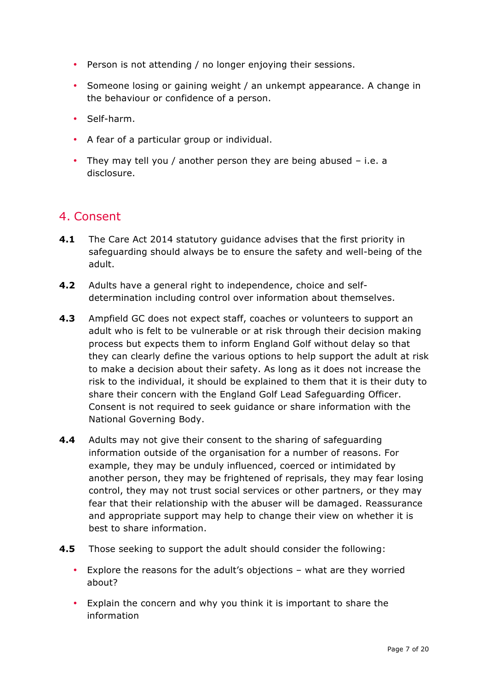- Person is not attending / no longer enjoying their sessions.
- Someone losing or gaining weight / an unkempt appearance. A change in the behaviour or confidence of a person.
- Self-harm.
- A fear of a particular group or individual.
- They may tell you / another person they are being abused i.e. a disclosure.

## 4. Consent

- **4.1** The Care Act 2014 statutory guidance advises that the first priority in safeguarding should always be to ensure the safety and well-being of the adult.
- **4.2** Adults have a general right to independence, choice and selfdetermination including control over information about themselves.
- **4.3** Ampfield GC does not expect staff, coaches or volunteers to support an adult who is felt to be vulnerable or at risk through their decision making process but expects them to inform England Golf without delay so that they can clearly define the various options to help support the adult at risk to make a decision about their safety. As long as it does not increase the risk to the individual, it should be explained to them that it is their duty to share their concern with the England Golf Lead Safeguarding Officer. Consent is not required to seek guidance or share information with the National Governing Body.
- **4.4** Adults may not give their consent to the sharing of safeguarding information outside of the organisation for a number of reasons. For example, they may be unduly influenced, coerced or intimidated by another person, they may be frightened of reprisals, they may fear losing control, they may not trust social services or other partners, or they may fear that their relationship with the abuser will be damaged. Reassurance and appropriate support may help to change their view on whether it is best to share information.
- **4.5** Those seeking to support the adult should consider the following:
	- Explore the reasons for the adult's objections what are they worried about?
	- Explain the concern and why you think it is important to share the information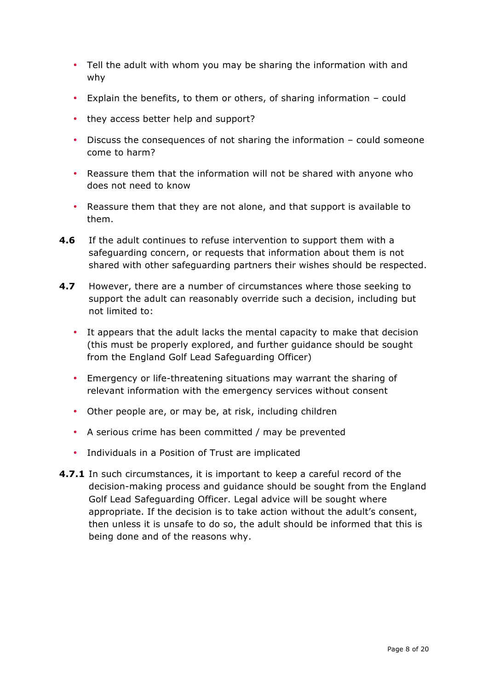- Tell the adult with whom you may be sharing the information with and why
- Explain the benefits, to them or others, of sharing information could
- they access better help and support?
- Discuss the consequences of not sharing the information could someone come to harm?
- Reassure them that the information will not be shared with anyone who does not need to know
- Reassure them that they are not alone, and that support is available to them.
- **4.6** If the adult continues to refuse intervention to support them with a safeguarding concern, or requests that information about them is not shared with other safeguarding partners their wishes should be respected.
- **4.7** However, there are a number of circumstances where those seeking to support the adult can reasonably override such a decision, including but not limited to:
	- It appears that the adult lacks the mental capacity to make that decision (this must be properly explored, and further guidance should be sought from the England Golf Lead Safeguarding Officer)
	- Emergency or life-threatening situations may warrant the sharing of relevant information with the emergency services without consent
	- Other people are, or may be, at risk, including children
	- A serious crime has been committed / may be prevented
	- Individuals in a Position of Trust are implicated
- **4.7.1** In such circumstances, it is important to keep a careful record of the decision-making process and guidance should be sought from the England Golf Lead Safeguarding Officer. Legal advice will be sought where appropriate. If the decision is to take action without the adult's consent, then unless it is unsafe to do so, the adult should be informed that this is being done and of the reasons why.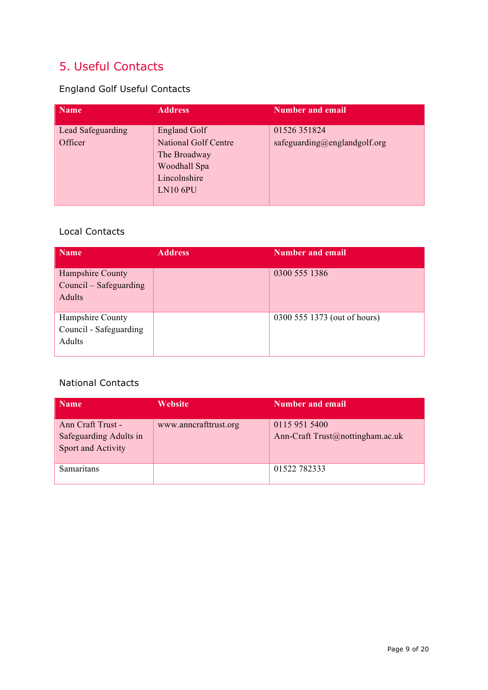## 5. Useful Contacts

## England Golf Useful Contacts

| <b>Name</b>                  | <b>Address</b>                                                                                                        | <b>Number and email</b>                      |
|------------------------------|-----------------------------------------------------------------------------------------------------------------------|----------------------------------------------|
| Lead Safeguarding<br>Officer | <b>England Golf</b><br><b>National Golf Centre</b><br>The Broadway<br>Woodhall Spa<br>Lincolnshire<br><b>LN10 6PU</b> | 01526 351824<br>safeguarding@englandgolf.org |

#### Local Contacts

| <b>Name</b>                                          | <b>Address</b> | Number and email             |
|------------------------------------------------------|----------------|------------------------------|
| Hampshire County<br>Council – Safeguarding<br>Adults |                | 0300 555 1386                |
| Hampshire County<br>Council - Safeguarding<br>Adults |                | 0300 555 1373 (out of hours) |

#### National Contacts

| <b>Name</b>                                                       | <b>Website</b>        | <b>Number and email</b>                           |
|-------------------------------------------------------------------|-----------------------|---------------------------------------------------|
| Ann Craft Trust -<br>Safeguarding Adults in<br>Sport and Activity | www.anncrafttrust.org | 0115 951 5400<br>Ann-Craft Trust@nottingham.ac.uk |
| Samaritans                                                        |                       | 01522782333                                       |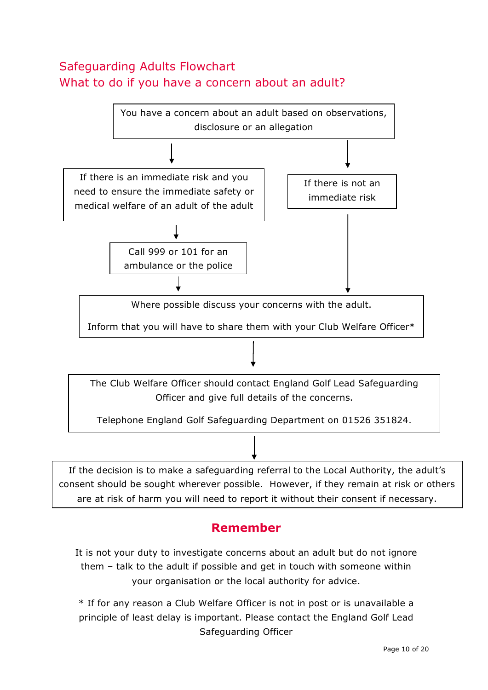## Safeguarding Adults Flowchart What to do if you have a concern about an adult?



## **Remember**

It is not your duty to investigate concerns about an adult but do not ignore them – talk to the adult if possible and get in touch with someone within your organisation or the local authority for advice.

\* If for any reason a Club Welfare Officer is not in post or is unavailable a principle of least delay is important. Please contact the England Golf Lead Safeguarding Officer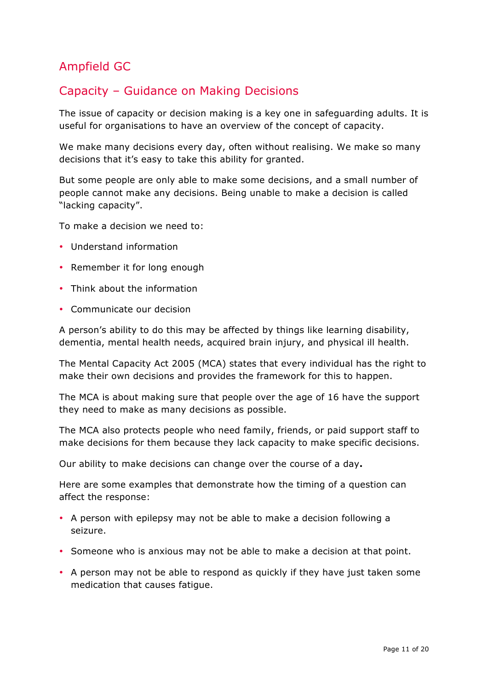## Ampfield GC

## Capacity – Guidance on Making Decisions

The issue of capacity or decision making is a key one in safeguarding adults. It is useful for organisations to have an overview of the concept of capacity.

We make many decisions every day, often without realising. We make so many decisions that it's easy to take this ability for granted.

But some people are only able to make some decisions, and a small number of people cannot make any decisions. Being unable to make a decision is called "lacking capacity".

To make a decision we need to:

- Understand information
- Remember it for long enough
- Think about the information
- Communicate our decision

A person's ability to do this may be affected by things like learning disability, dementia, mental health needs, acquired brain injury, and physical ill health.

The Mental Capacity Act 2005 (MCA) states that every individual has the right to make their own decisions and provides the framework for this to happen.

The MCA is about making sure that people over the age of 16 have the support they need to make as many decisions as possible.

The MCA also protects people who need family, friends, or paid support staff to make decisions for them because they lack capacity to make specific decisions.

Our ability to make decisions can change over the course of a day**.**

Here are some examples that demonstrate how the timing of a question can affect the response:

- A person with epilepsy may not be able to make a decision following a seizure.
- Someone who is anxious may not be able to make a decision at that point.
- A person may not be able to respond as quickly if they have just taken some medication that causes fatigue.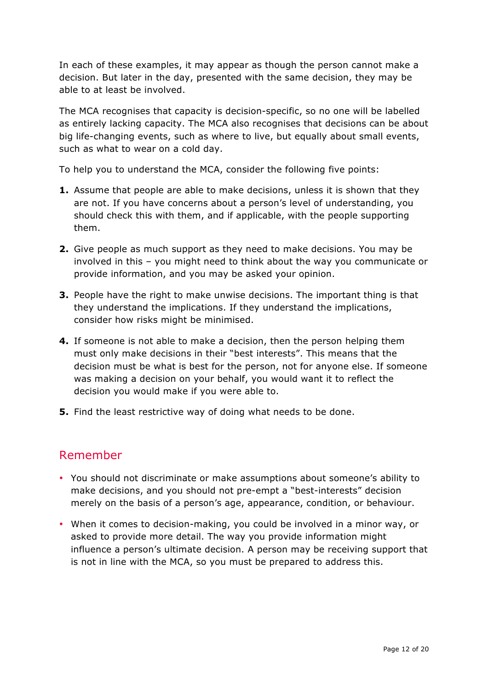In each of these examples, it may appear as though the person cannot make a decision. But later in the day, presented with the same decision, they may be able to at least be involved.

The MCA recognises that capacity is decision-specific, so no one will be labelled as entirely lacking capacity. The MCA also recognises that decisions can be about big life-changing events, such as where to live, but equally about small events, such as what to wear on a cold day.

To help you to understand the MCA, consider the following five points:

- **1.** Assume that people are able to make decisions, unless it is shown that they are not. If you have concerns about a person's level of understanding, you should check this with them, and if applicable, with the people supporting them.
- **2.** Give people as much support as they need to make decisions. You may be involved in this – you might need to think about the way you communicate or provide information, and you may be asked your opinion.
- **3.** People have the right to make unwise decisions. The important thing is that they understand the implications. If they understand the implications, consider how risks might be minimised.
- **4.** If someone is not able to make a decision, then the person helping them must only make decisions in their "best interests". This means that the decision must be what is best for the person, not for anyone else. If someone was making a decision on your behalf, you would want it to reflect the decision you would make if you were able to.
- **5.** Find the least restrictive way of doing what needs to be done.

## Remember

- You should not discriminate or make assumptions about someone's ability to make decisions, and you should not pre-empt a "best-interests" decision merely on the basis of a person's age, appearance, condition, or behaviour.
- When it comes to decision-making, you could be involved in a minor way, or asked to provide more detail. The way you provide information might influence a person's ultimate decision. A person may be receiving support that is not in line with the MCA, so you must be prepared to address this.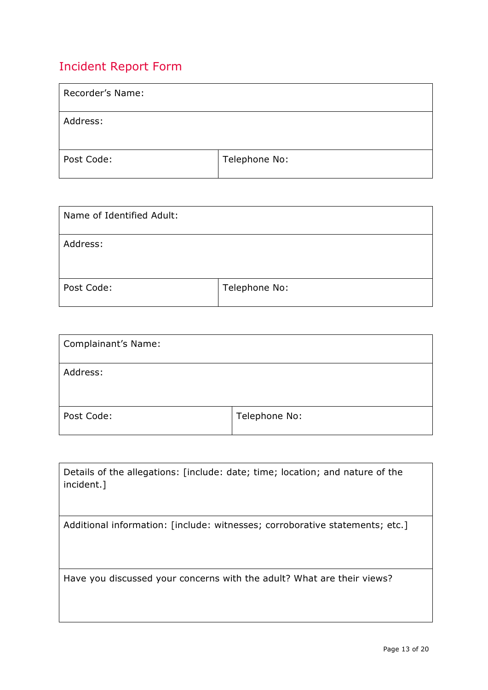## Incident Report Form

| Recorder's Name: |               |
|------------------|---------------|
| Address:         |               |
| Post Code:       | Telephone No: |

| Name of Identified Adult: |               |
|---------------------------|---------------|
| Address:                  |               |
| Post Code:                | Telephone No: |

| Complainant's Name: |               |
|---------------------|---------------|
| Address:            |               |
| Post Code:          | Telephone No: |

| Details of the allegations: [include: date; time; location; and nature of the<br>incident.] |
|---------------------------------------------------------------------------------------------|
| Additional information: [include: witnesses; corroborative statements; etc.]                |
| Have you discussed your concerns with the adult? What are their views?                      |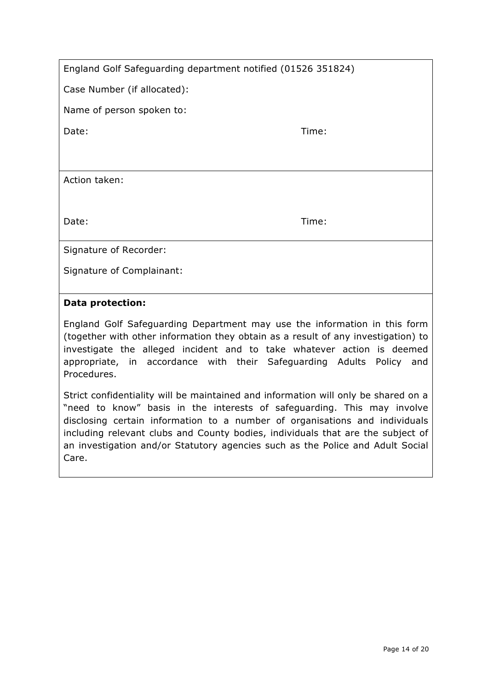| England Golf Safeguarding department notified (01526 351824) |  |
|--------------------------------------------------------------|--|
|--------------------------------------------------------------|--|

Case Number (if allocated):

Name of person spoken to:

Date: Time:

Action taken:

Date: Time:

Signature of Recorder:

Signature of Complainant:

#### **Data protection:**

England Golf Safeguarding Department may use the information in this form (together with other information they obtain as a result of any investigation) to investigate the alleged incident and to take whatever action is deemed appropriate, in accordance with their Safeguarding Adults Policy and Procedures.

Strict confidentiality will be maintained and information will only be shared on a "need to know" basis in the interests of safeguarding. This may involve disclosing certain information to a number of organisations and individuals including relevant clubs and County bodies, individuals that are the subject of an investigation and/or Statutory agencies such as the Police and Adult Social Care.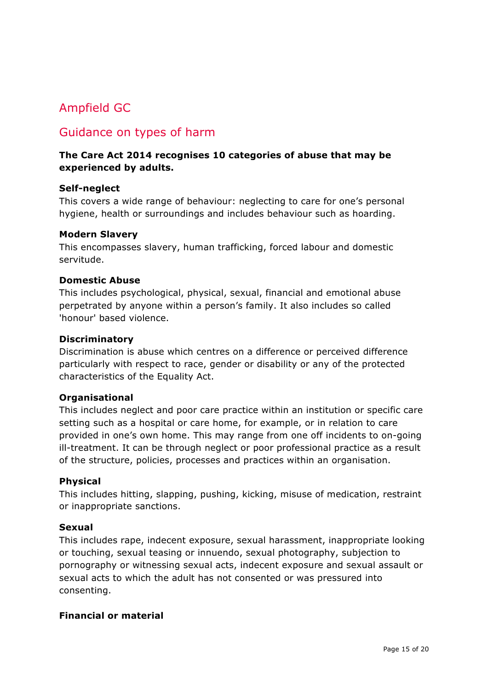## Ampfield GC

## Guidance on types of harm

#### **The Care Act 2014 recognises 10 categories of abuse that may be experienced by adults.**

#### **Self-neglect**

This covers a wide range of behaviour: neglecting to care for one's personal hygiene, health or surroundings and includes behaviour such as hoarding.

#### **Modern Slavery**

This encompasses slavery, human trafficking, forced labour and domestic servitude.

#### **Domestic Abuse**

This includes psychological, physical, sexual, financial and emotional abuse perpetrated by anyone within a person's family. It also includes so called 'honour' based violence.

#### **Discriminatory**

Discrimination is abuse which centres on a difference or perceived difference particularly with respect to race, gender or disability or any of the protected characteristics of the Equality Act.

#### **Organisational**

This includes neglect and poor care practice within an institution or specific care setting such as a hospital or care home, for example, or in relation to care provided in one's own home. This may range from one off incidents to on-going ill-treatment. It can be through neglect or poor professional practice as a result of the structure, policies, processes and practices within an organisation.

#### **Physical**

This includes hitting, slapping, pushing, kicking, misuse of medication, restraint or inappropriate sanctions.

#### **Sexual**

This includes rape, indecent exposure, sexual harassment, inappropriate looking or touching, sexual teasing or innuendo, sexual photography, subjection to pornography or witnessing sexual acts, indecent exposure and sexual assault or sexual acts to which the adult has not consented or was pressured into consenting.

#### **Financial or material**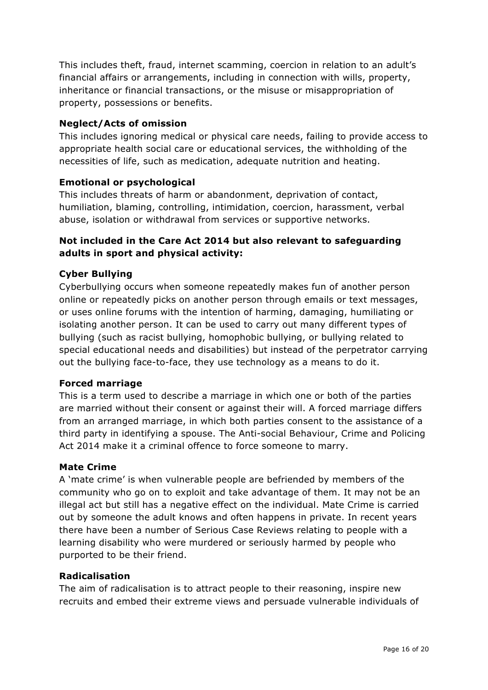This includes theft, fraud, internet scamming, coercion in relation to an adult's financial affairs or arrangements, including in connection with wills, property, inheritance or financial transactions, or the misuse or misappropriation of property, possessions or benefits.

#### **Neglect/Acts of omission**

This includes ignoring medical or physical care needs, failing to provide access to appropriate health social care or educational services, the withholding of the necessities of life, such as medication, adequate nutrition and heating.

#### **Emotional or psychological**

This includes threats of harm or abandonment, deprivation of contact, humiliation, blaming, controlling, intimidation, coercion, harassment, verbal abuse, isolation or withdrawal from services or supportive networks.

#### **Not included in the Care Act 2014 but also relevant to safeguarding adults in sport and physical activity:**

#### **Cyber Bullying**

Cyberbullying occurs when someone repeatedly makes fun of another person online or repeatedly picks on another person through emails or text messages, or uses online forums with the intention of harming, damaging, humiliating or isolating another person. It can be used to carry out many different types of bullying (such as racist bullying, homophobic bullying, or bullying related to special educational needs and disabilities) but instead of the perpetrator carrying out the bullying face-to-face, they use technology as a means to do it.

#### **Forced marriage**

This is a term used to describe a marriage in which one or both of the parties are married without their consent or against their will. A forced marriage differs from an arranged marriage, in which both parties consent to the assistance of a third party in identifying a spouse. The Anti-social Behaviour, Crime and Policing Act 2014 make it a criminal offence to force someone to marry.

#### **Mate Crime**

A 'mate crime' is when vulnerable people are befriended by members of the community who go on to exploit and take advantage of them. It may not be an illegal act but still has a negative effect on the individual. Mate Crime is carried out by someone the adult knows and often happens in private. In recent years there have been a number of Serious Case Reviews relating to people with a learning disability who were murdered or seriously harmed by people who purported to be their friend.

#### **Radicalisation**

The aim of radicalisation is to attract people to their reasoning, inspire new recruits and embed their extreme views and persuade vulnerable individuals of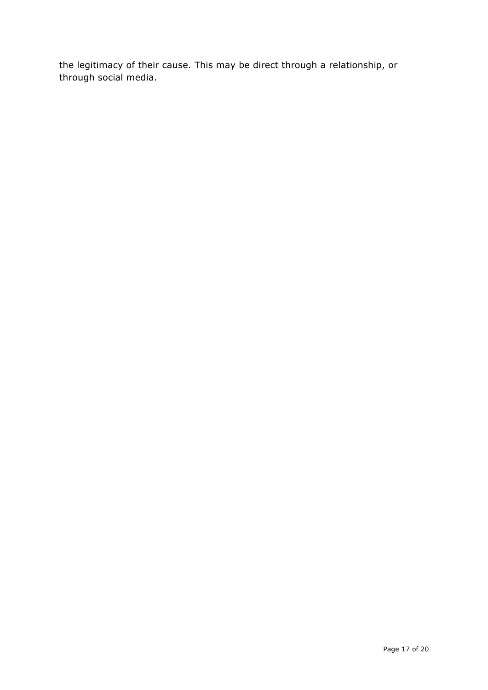the legitimacy of their cause. This may be direct through a relationship, or through social media.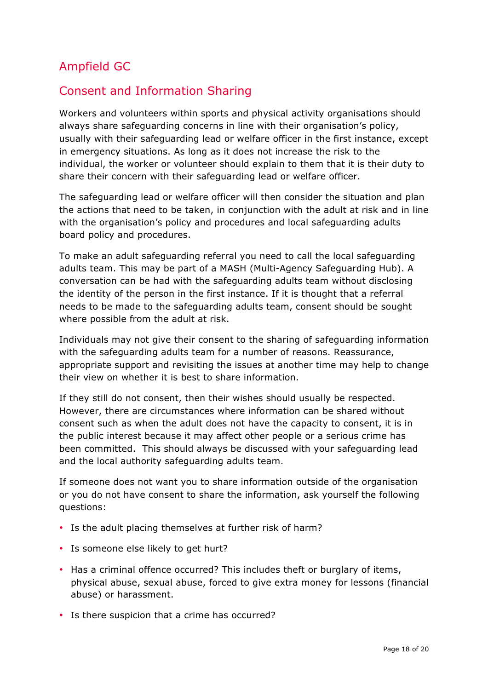## Ampfield GC

## Consent and Information Sharing

Workers and volunteers within sports and physical activity organisations should always share safeguarding concerns in line with their organisation's policy, usually with their safeguarding lead or welfare officer in the first instance, except in emergency situations. As long as it does not increase the risk to the individual, the worker or volunteer should explain to them that it is their duty to share their concern with their safeguarding lead or welfare officer.

The safeguarding lead or welfare officer will then consider the situation and plan the actions that need to be taken, in conjunction with the adult at risk and in line with the organisation's policy and procedures and local safeguarding adults board policy and procedures.

To make an adult safeguarding referral you need to call the local safeguarding adults team. This may be part of a MASH (Multi*-*Agency Safeguarding Hub). A conversation can be had with the safeguarding adults team without disclosing the identity of the person in the first instance. If it is thought that a referral needs to be made to the safeguarding adults team, consent should be sought where possible from the adult at risk.

Individuals may not give their consent to the sharing of safeguarding information with the safeguarding adults team for a number of reasons. Reassurance, appropriate support and revisiting the issues at another time may help to change their view on whether it is best to share information.

If they still do not consent, then their wishes should usually be respected. However, there are circumstances where information can be shared without consent such as when the adult does not have the capacity to consent, it is in the public interest because it may affect other people or a serious crime has been committed. This should always be discussed with your safeguarding lead and the local authority safeguarding adults team.

If someone does not want you to share information outside of the organisation or you do not have consent to share the information, ask yourself the following questions:

- Is the adult placing themselves at further risk of harm?
- Is someone else likely to get hurt?
- Has a criminal offence occurred? This includes theft or burglary of items, physical abuse, sexual abuse, forced to give extra money for lessons (financial abuse) or harassment.
- Is there suspicion that a crime has occurred?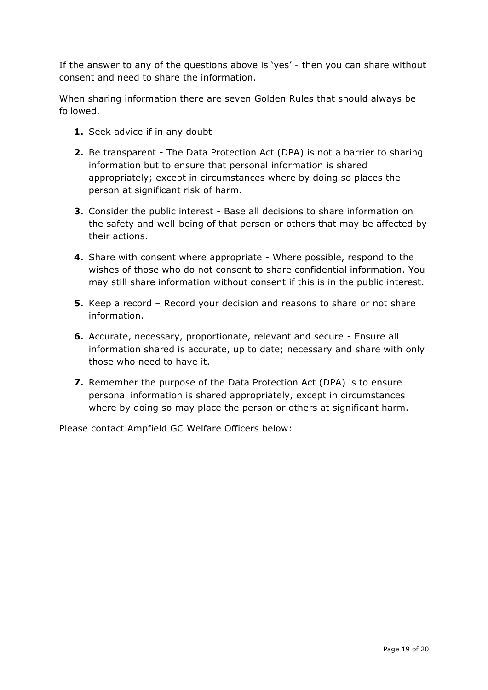If the answer to any of the questions above is 'yes' - then you can share without consent and need to share the information.

When sharing information there are seven Golden Rules that should always be followed.

- **1.** Seek advice if in any doubt
- **2.** Be transparent The Data Protection Act (DPA) is not a barrier to sharing information but to ensure that personal information is shared appropriately; except in circumstances where by doing so places the person at significant risk of harm.
- **3.** Consider the public interest Base all decisions to share information on the safety and well-being of that person or others that may be affected by their actions.
- **4.** Share with consent where appropriate Where possible, respond to the wishes of those who do not consent to share confidential information. You may still share information without consent if this is in the public interest.
- **5.** Keep a record Record your decision and reasons to share or not share information.
- **6.** Accurate, necessary, proportionate, relevant and secure Ensure all information shared is accurate, up to date; necessary and share with only those who need to have it.
- **7.** Remember the purpose of the Data Protection Act (DPA) is to ensure personal information is shared appropriately, except in circumstances where by doing so may place the person or others at significant harm.

Please contact Ampfield GC Welfare Officers below: